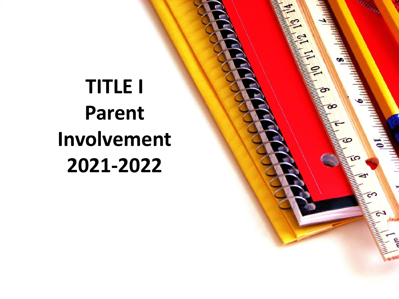# **TITLE I Parent Involvement 2021-2022**

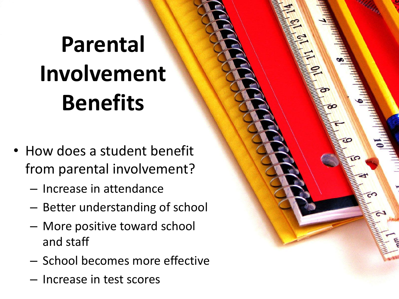# **Parental Involvement Benefits**

- How does a student benefit from parental involvement?
	- Increase in attendance
	- Better understanding of school
	- More positive toward school and staff
	- School becomes more effective
	- Increase in test scores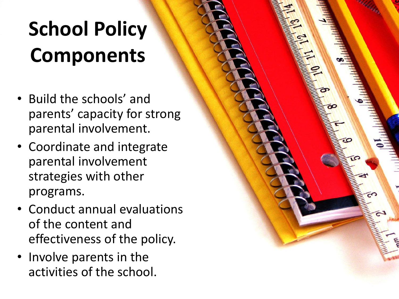# **School Policy Components**

- Build the schools' and parents' capacity for strong parental involvement.
- Coordinate and integrate parental involvement strategies with other programs.
- Conduct annual evaluations of the content and effectiveness of the policy.
- Involve parents in the activities of the school.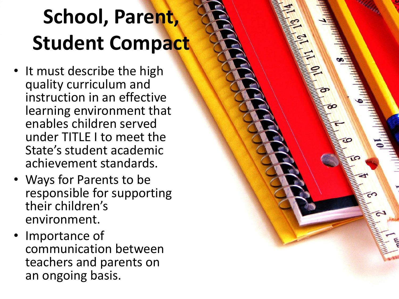# **School, Parent, Student Compact**

- It must describe the high quality curriculum and instruction in an effective learning environment that enables children served under TITLE I to meet the State's student academic achievement standards.
- Ways for Parents to be responsible for supporting their children's environment.
- Importance of communication between teachers and parents on an ongoing basis.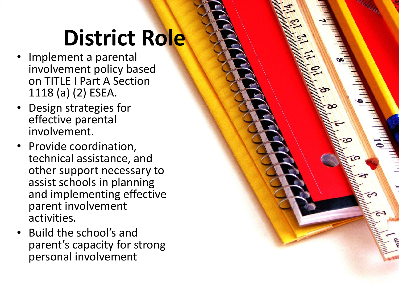# **District Role**

- Implement a parental involvement policy based on TITLE I Part A Section 1118 (a) (2) ESEA.
- Design strategies for effective parental involvement.
- Provide coordination, technical assistance, and other support necessary to assist schools in planning and implementing effective parent involvement activities.
- Build the school's and parent's capacity for strong personal involvement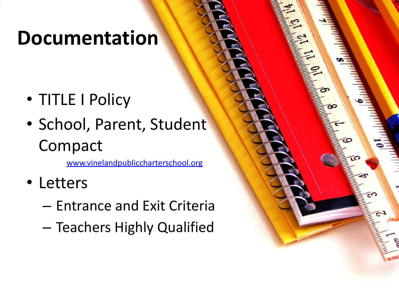### **Documentation**

- TITLE I Policy
- School, Parent, Student Compact

[www.vinelandpubliccharterschool.org](http://www.vinelandpubliccharterschool.org/)

- Letters
	- Entrance and Exit Criteria
	- Teachers Highly Qualified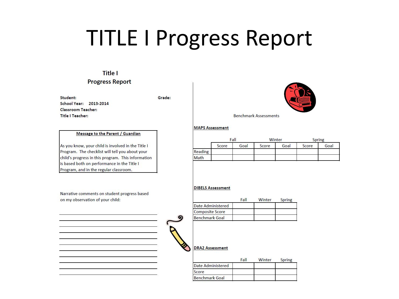## TITLE I Progress Report

#### **Title I**

#### **Progress Report**

Student: School Year: 2013-2014 **Classroom Teacher: Title I Teacher:** 

Grade:

#### Message to the Parent / Guardian

As you know, your child is involved in the Title I Program. The checklist will tell you about your child's progress in this program. This information is based both on performance in the Title I Program, and in the regular classroom.

Narrative comments on student progress based on my observation of your child:



**Benchmark Assessments** 

#### **MAPS Assessment**

|         | Fall  |      | Winter |      | Spring |      |
|---------|-------|------|--------|------|--------|------|
|         | Score | Goal | Score  | Goal | Score  | Goal |
| Reading |       |      |        |      |        |      |
| Math    |       |      |        |      |        |      |

#### **DIBELS Assessment**

|                        | Fall | Winter | <b>Spring</b> |
|------------------------|------|--------|---------------|
| Date Administered      |      |        |               |
| <b>Composite Score</b> |      |        |               |
| <b>Benchmark Goal</b>  |      |        |               |

#### **DRA2 Assessment**

|                       | Fall | Winter | <b>Spring</b> |
|-----------------------|------|--------|---------------|
| Date Administered     |      |        |               |
| Score                 |      |        |               |
| <b>Benchmark Goal</b> |      |        |               |

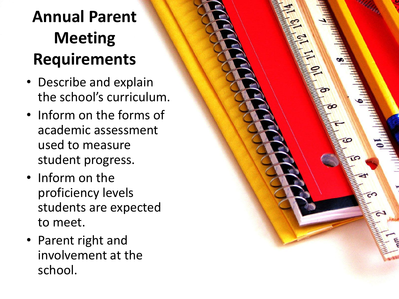### **Annual Parent Meeting Requirements**

- Describe and explain the school's curriculum.
- Inform on the forms of academic assessment used to measure student progress.
- Inform on the proficiency levels students are expected to meet.
- Parent right and involvement at the school.